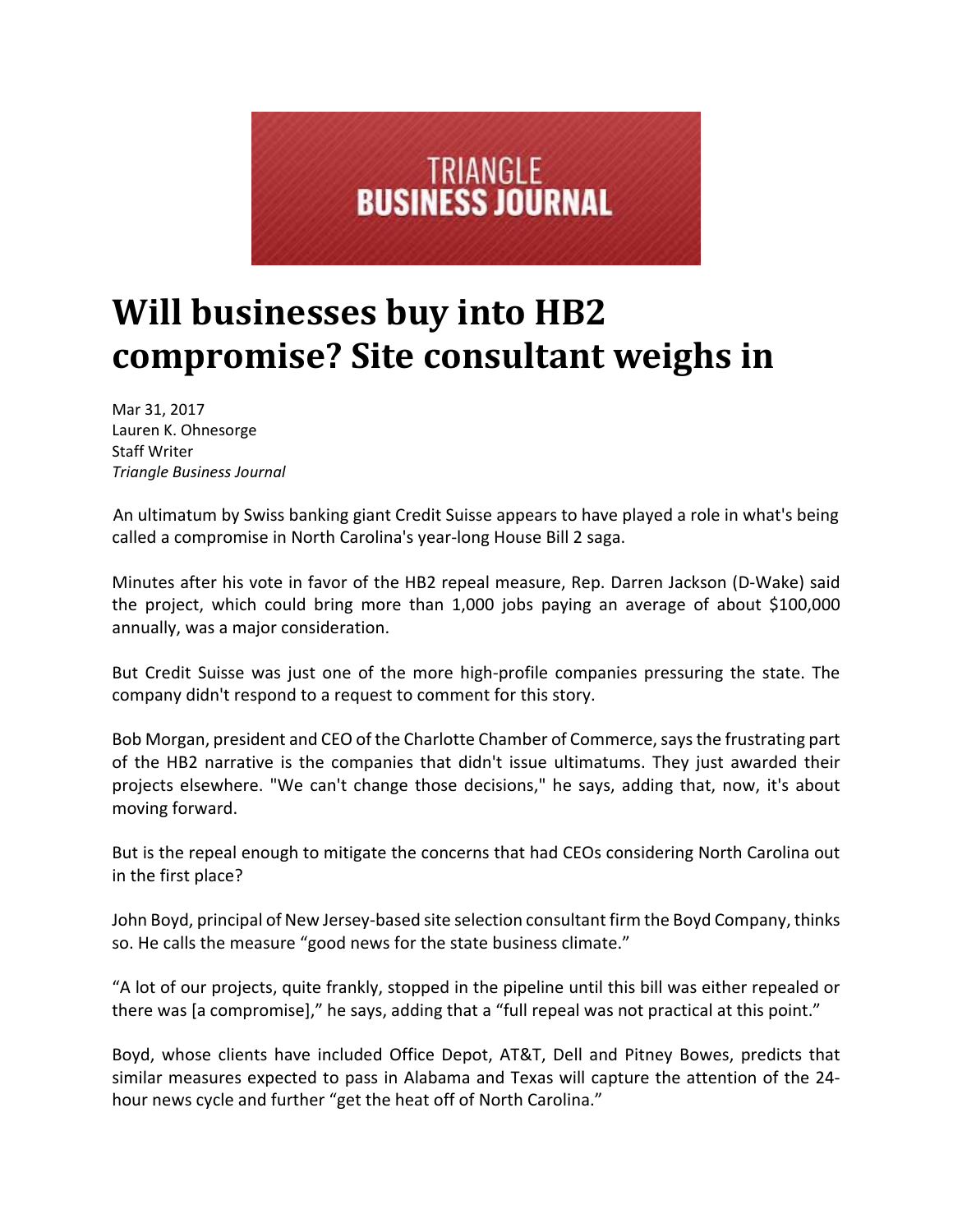

## **Will businesses buy into HB2 compromise? Site consultant weighs in**

Mar 31, 2017 Lauren K. Ohnesorge Staff Writer *Triangle Business Journal*

An ultimatum by Swiss banking giant Credit Suisse appears to have played a role in what's being called a compromise in North Carolina's year‐long House Bill 2 saga.

Minutes after his vote in favor of the HB2 repeal measure, Rep. Darren Jackson (D‐Wake) said the project, which could bring more than 1,000 jobs paying an average of about \$100,000 annually, was a major consideration.

But Credit Suisse was just one of the more high‐profile companies pressuring the state. The company didn't respond to a request to comment for this story.

Bob Morgan, president and CEO of the Charlotte Chamber of Commerce, says the frustrating part of the HB2 narrative is the companies that didn't issue ultimatums. They just awarded their projects elsewhere. "We can't change those decisions," he says, adding that, now, it's about moving forward.

But is the repeal enough to mitigate the concerns that had CEOs considering North Carolina out in the first place?

John Boyd, principal of New Jersey-based site selection consultant firm the Boyd Company, thinks so. He calls the measure "good news for the state business climate."

"A lot of our projects, quite frankly, stopped in the pipeline until this bill was either repealed or there was [a compromise]," he says, adding that a "full repeal was not practical at this point."

Boyd, whose clients have included Office Depot, AT&T, Dell and Pitney Bowes, predicts that similar measures expected to pass in Alabama and Texas will capture the attention of the 24‐ hour news cycle and further "get the heat off of North Carolina."